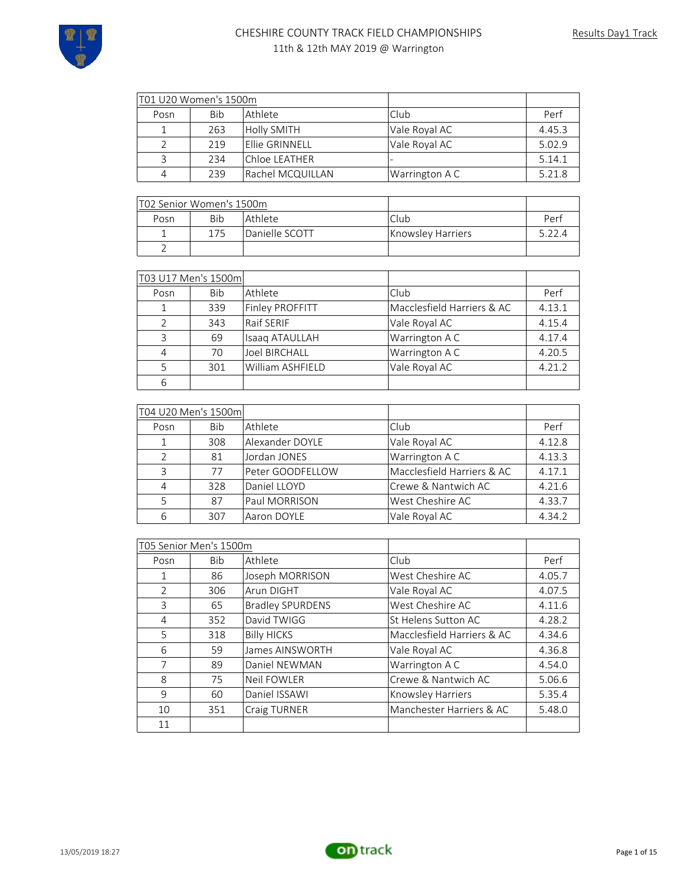

| T01 U20 Women's 1500m |     |                    |                |        |
|-----------------------|-----|--------------------|----------------|--------|
| Posn                  | Bib | l Athlete.         | Club           | Perf   |
|                       | 263 | <b>Holly SMITH</b> | Vale Royal AC  | 4.45.3 |
|                       | 219 | lEllie GRINNELL    | Vale Royal AC  | 5.02.9 |
|                       | 234 | lChloe LEATHER     |                | 5.14.1 |
| 4                     | 239 | Rachel MCQUILLAN   | Warrington A C | 5.21.8 |

| T02 Senior Women's 1500m |     |                |                   |        |
|--------------------------|-----|----------------|-------------------|--------|
| Posn                     | Bib | l Athlete      | Club              | Perf   |
|                          | 175 | Danielle SCOTT | Knowsley Harriers | 5 22 4 |
|                          |     |                |                   |        |

|               | T03 U17 Men's 1500m |                      |                            |        |
|---------------|---------------------|----------------------|----------------------------|--------|
| Posn          | <b>Bib</b>          | Athlete              | Club                       | Perf   |
| 1             | 339                 | Finley PROFFITT      | Macclesfield Harriers & AC | 4.13.1 |
| $\mathcal{P}$ | 343                 | Raif SERIF           | Vale Royal AC              | 4.15.4 |
| 3             | 69                  | Isaag ATAULLAH       | Warrington A C             | 4.17.4 |
| 4             | 70                  | <b>Joel BIRCHALL</b> | Warrington A C             | 4.20.5 |
| 5             | 301                 | William ASHFIELD     | Vale Royal AC              | 4.21.2 |
| 6             |                     |                      |                            |        |

|                | T04 U20 Men's 1500ml |                  |                            |        |
|----------------|----------------------|------------------|----------------------------|--------|
| Posn           | Bib                  | Athlete          | Club                       | Perf   |
| $\mathbf{1}$   | 308                  | Alexander DOYLE  | Vale Royal AC              | 4.12.8 |
| $\mathcal{L}$  | 81                   | Jordan JONES     | Warrington A C             | 4.13.3 |
| 3              | 77                   | Peter GOODFELLOW | Macclesfield Harriers & AC | 4.17.1 |
| $\overline{4}$ | 328                  | Daniel LLOYD     | Crewe & Nantwich AC        | 4.21.6 |
|                | 87                   | Paul MORRISON    | West Cheshire AC           | 4.33.7 |
| 6              | 307                  | Aaron DOYLE      | Vale Royal AC              | 4.34.2 |

|               | T05 Senior Men's 1500m |                         |                            |        |
|---------------|------------------------|-------------------------|----------------------------|--------|
| Posn          | <b>Bib</b>             | Athlete                 | Club                       | Perf   |
| 1             | 86                     | Joseph MORRISON         | West Cheshire AC           | 4.05.7 |
| $\mathcal{P}$ | 306                    | Arun DIGHT              | Vale Royal AC              | 4.07.5 |
| 3             | 65                     | <b>Bradley SPURDENS</b> | West Cheshire AC           | 4.11.6 |
| 4             | 352                    | David TWIGG             | St Helens Sutton AC        | 4.28.2 |
| 5             | 318                    | <b>Billy HICKS</b>      | Macclesfield Harriers & AC | 4.34.6 |
| 6             | 59                     | James AINSWORTH         | Vale Royal AC              | 4.36.8 |
| 7             | 89                     | Daniel NEWMAN           | Warrington A C             | 4.54.0 |
| 8             | 75                     | <b>Neil FOWLER</b>      | Crewe & Nantwich AC        | 5.06.6 |
| 9             | 60                     | Daniel ISSAWI           | Knowsley Harriers          | 5.35.4 |
| 10            | 351                    | Craig TURNER            | Manchester Harriers & AC   | 5.48.0 |
| 11            |                        |                         |                            |        |

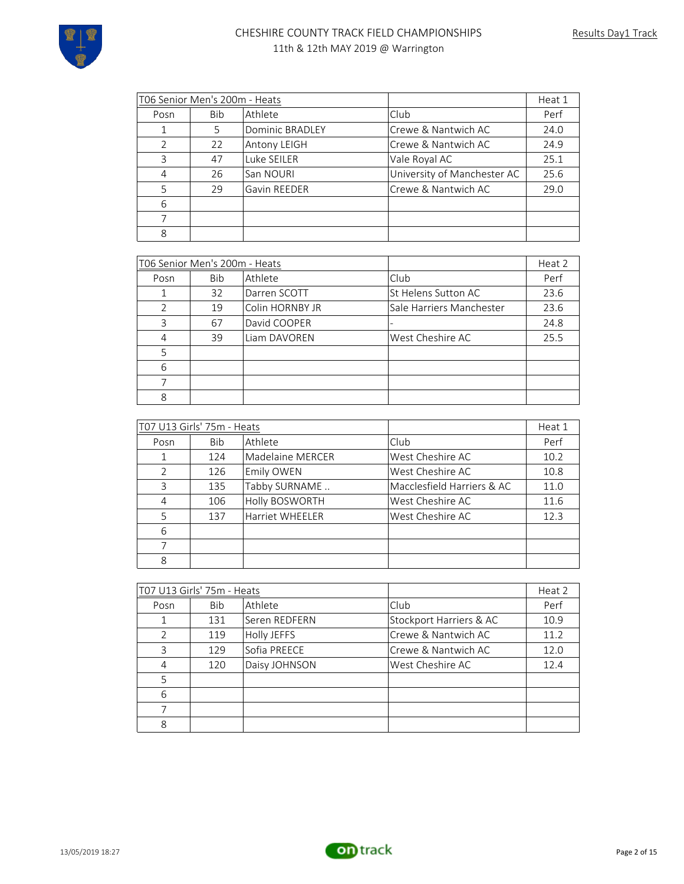

| T06 Senior Men's 200m - Heats |            |                     | Heat 1                      |      |
|-------------------------------|------------|---------------------|-----------------------------|------|
| Posn                          | <b>Bib</b> | Athlete             | <b>Club</b>                 | Perf |
|                               | 5          | Dominic BRADLEY     | lCrewe & Nantwich AC        | 24.0 |
| $\mathfrak{D}$                | 22         | <b>Antony LEIGH</b> | Crewe & Nantwich AC         | 24.9 |
| 3                             | 47         | Luke SEILER         | Vale Royal AC               | 25.1 |
| 4                             | 26         | San NOURI           | University of Manchester AC | 25.6 |
| 5                             | 29         | <b>Gavin REEDER</b> | Crewe & Nantwich AC         | 29.0 |
| 6                             |            |                     |                             |      |
|                               |            |                     |                             |      |
| 8                             |            |                     |                             |      |

|               | T06 Senior Men's 200m - Heats |                 |                          | Heat 2 |
|---------------|-------------------------------|-----------------|--------------------------|--------|
| Posn          | <b>Bib</b>                    | Athlete         | Club                     | Perf   |
|               | 32                            | Darren SCOTT    | St Helens Sutton AC      | 23.6   |
| $\mathcal{P}$ | 19                            | Colin HORNBY JR | Sale Harriers Manchester | 23.6   |
| 3             | 67                            | David COOPER    |                          | 24.8   |
| 4             | 39                            | Liam DAVOREN    | West Cheshire AC         | 25.5   |
| 5             |                               |                 |                          |        |
| 6             |                               |                 |                          |        |
|               |                               |                 |                          |        |
| 8             |                               |                 |                          |        |

|               | T07 U13 Girls' 75m - Heats |                   |                            | Heat 1 |
|---------------|----------------------------|-------------------|----------------------------|--------|
| Posn          | <b>Bib</b>                 | Athlete           | Club                       | Perf   |
|               | 124                        | Madelaine MERCER  | West Cheshire AC           | 10.2   |
| $\mathcal{P}$ | 126                        | <b>Emily OWEN</b> | West Cheshire AC           | 10.8   |
| ζ             | 135                        | Tabby SURNAME     | Macclesfield Harriers & AC | 11.0   |
| 4             | 106                        | Holly BOSWORTH    | West Cheshire AC           | 11.6   |
| 5             | 137                        | Harriet WHEELER   | West Cheshire AC           | 12.3   |
| 6             |                            |                   |                            |        |
|               |                            |                   |                            |        |
| 8             |                            |                   |                            |        |

|      | T07 U13 Girls' 75m - Heats |               |                         | Heat 2 |
|------|----------------------------|---------------|-------------------------|--------|
| Posn | Bib                        | Athlete       | Club                    | Perf   |
| 1    | 131                        | Seren REDFERN | Stockport Harriers & AC | 10.9   |
| 2    | 119                        | Holly JEFFS   | Crewe & Nantwich AC     | 11.2   |
| 3    | 129                        | Sofia PREECE  | Crewe & Nantwich AC     | 12.0   |
| 4    | 120                        | Daisy JOHNSON | West Cheshire AC        | 12.4   |
| 5    |                            |               |                         |        |
| 6    |                            |               |                         |        |
| 7    |                            |               |                         |        |
| 8    |                            |               |                         |        |

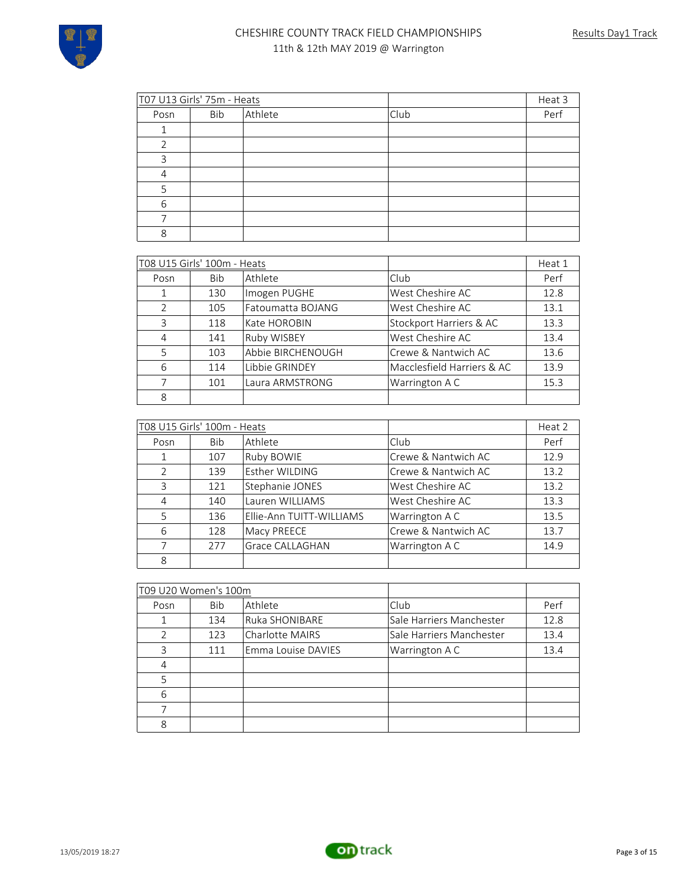

| T07 U13 Girls' 75m - Heats |            |         |      | Heat 3 |
|----------------------------|------------|---------|------|--------|
| Posn                       | <b>Bib</b> | Athlete | Club | Perf   |
|                            |            |         |      |        |
|                            |            |         |      |        |
| 3                          |            |         |      |        |
| 4                          |            |         |      |        |
| 5                          |            |         |      |        |
| 6                          |            |         |      |        |
|                            |            |         |      |        |
| 8                          |            |         |      |        |

|               | T08 U15 Girls' 100m - Heats |                    |                            | Heat 1 |
|---------------|-----------------------------|--------------------|----------------------------|--------|
| Posn          | <b>Bib</b>                  | Athlete            | Club                       | Perf   |
| 1             | 130                         | Imogen PUGHE       | West Cheshire AC           | 12.8   |
| $\mathcal{L}$ | 105                         | Fatoumatta BOJANG  | West Cheshire AC           | 13.1   |
| 3             | 118                         | Kate HOROBIN       | Stockport Harriers & AC    | 13.3   |
| 4             | 141                         | <b>Ruby WISBEY</b> | West Cheshire AC           | 13.4   |
| 5             | 103                         | Abbie BIRCHENOUGH  | Crewe & Nantwich AC        | 13.6   |
| $\sqrt{2}$    | 114                         | Libbie GRINDEY     | Macclesfield Harriers & AC | 13.9   |
| 7             | 101                         | Laura ARMSTRONG    | Warrington A C             | 15.3   |
| 8             |                             |                    |                            |        |

|                | T08 U15 Girls' 100m - Heats |                          |                     | Heat 2 |
|----------------|-----------------------------|--------------------------|---------------------|--------|
| Posn           | <b>Bib</b>                  | Athlete                  | <b>Club</b>         | Perf   |
| $\mathbf{1}$   | 107                         | Ruby BOWIE               | Crewe & Nantwich AC | 12.9   |
| $\mathcal{L}$  | 139                         | Esther WILDING           | Crewe & Nantwich AC | 13.2   |
| 3              | 121                         | Stephanie JONES          | West Cheshire AC    | 13.2   |
| $\overline{4}$ | 140                         | Lauren WILLIAMS          | West Cheshire AC    | 13.3   |
| 5              | 136                         | Ellie-Ann TUITT-WILLIAMS | Warrington A C      | 13.5   |
| 6              | 128                         | Macy PREECE              | Crewe & Nantwich AC | 13.7   |
| 7              | 277                         | Grace CALLAGHAN          | Warrington A C      | 14.9   |
| 8              |                             |                          |                     |        |

| T09 U20 Women's 100m |            |                        |                          |      |
|----------------------|------------|------------------------|--------------------------|------|
| Posn                 | <b>Bib</b> | Athlete                | Club                     | Perf |
| 1                    | 134        | Ruka SHONIBARE         | Sale Harriers Manchester | 12.8 |
| 2                    | 123        | <b>Charlotte MAIRS</b> | Sale Harriers Manchester | 13.4 |
| 3                    | 111        | Emma Louise DAVIES     | Warrington A C           | 13.4 |
| 4                    |            |                        |                          |      |
| 5                    |            |                        |                          |      |
| 6                    |            |                        |                          |      |
| 7                    |            |                        |                          |      |
| 8                    |            |                        |                          |      |

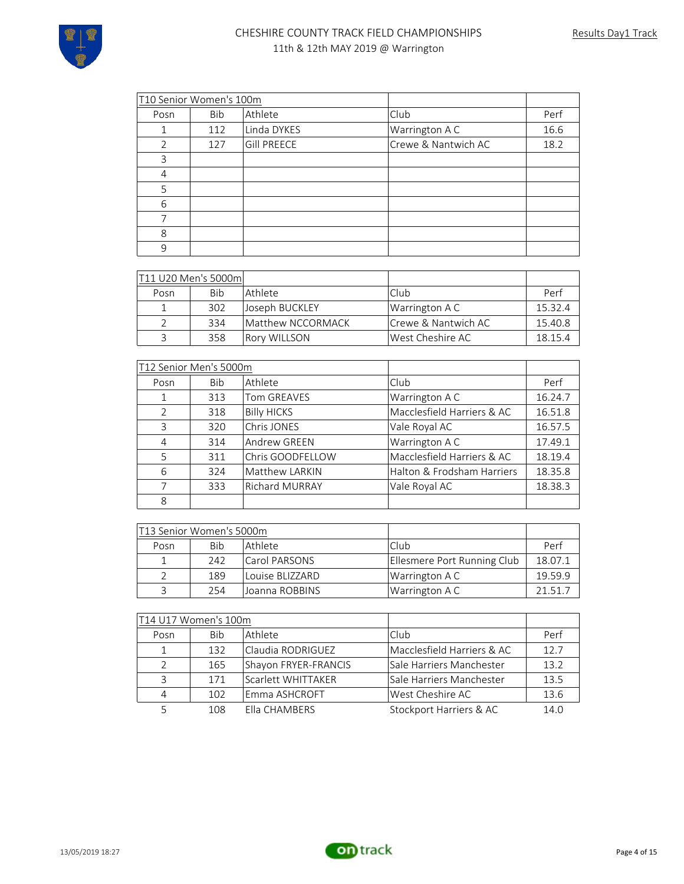| T10 Senior Women's 100m |     |                    |                     |      |
|-------------------------|-----|--------------------|---------------------|------|
| Posn                    | Bib | Athlete            | Club                | Perf |
|                         | 112 | Linda DYKES        | Warrington A C      | 16.6 |
| 2                       | 127 | <b>Gill PREECE</b> | Crewe & Nantwich AC | 18.2 |
| 3                       |     |                    |                     |      |
| 4                       |     |                    |                     |      |
| 5                       |     |                    |                     |      |
| 6                       |     |                    |                     |      |
|                         |     |                    |                     |      |
| 8                       |     |                    |                     |      |
| 9                       |     |                    |                     |      |

| T11 U20 Men's 5000ml |     |                      |                      |         |
|----------------------|-----|----------------------|----------------------|---------|
| Posn                 | Bib | l Athlete.           | l Club               | Perf    |
|                      | 302 | Joseph BUCKLEY       | Warrington A C       | 15.32.4 |
|                      | 334 | Matthew NCCORMACK    | lCrewe & Nantwich AC | 15.40.8 |
| 3                    | 358 | <b>IRory WILLSON</b> | West Cheshire AC     | 18.15.4 |

| T12 Senior Men's 5000m |            |                       |                            |         |
|------------------------|------------|-----------------------|----------------------------|---------|
| Posn                   | <b>Bib</b> | Athlete               | Club                       | Perf    |
| 1                      | 313        | <b>Tom GREAVES</b>    | Warrington A C             | 16.24.7 |
| $\mathcal{P}$          | 318        | <b>Billy HICKS</b>    | Macclesfield Harriers & AC | 16.51.8 |
| $\mathbf{R}$           | 320        | Chris JONES           | Vale Royal AC              | 16.57.5 |
| 4                      | 314        | Andrew GREEN          | Warrington A C             | 17.49.1 |
| 5                      | 311        | Chris GOODFELLOW      | Macclesfield Harriers & AC | 18.19.4 |
| 6                      | 324        | Matthew LARKIN        | Halton & Frodsham Harriers | 18.35.8 |
| 7                      | 333        | <b>Richard MURRAY</b> | Vale Royal AC              | 18.38.3 |
| 8                      |            |                       |                            |         |

| T13 Senior Women's 5000m |     |                 |                             |         |
|--------------------------|-----|-----------------|-----------------------------|---------|
| Posn                     | Bib | l Athlete       | Club                        | Perf    |
|                          | 242 | Carol PARSONS   | Ellesmere Port Running Club | 18.07.1 |
|                          | 189 | Louise BLIZZARD | Warrington A C              | 19.59.9 |
|                          | 254 | Joanna ROBBINS  | Warrington A C              | 21 51 7 |

| T14 U17 Women's 100m |            |                      |                            |      |
|----------------------|------------|----------------------|----------------------------|------|
| Posn                 | <b>Bib</b> | Athlete              | Club                       | Perf |
| $\mathbf{1}$         | 132        | Claudia RODRIGUEZ    | Macclesfield Harriers & AC | 12.7 |
| $\mathcal{L}$        | 165        | Shayon FRYER-FRANCIS | Sale Harriers Manchester   | 13.2 |
| 3                    | 171        | Scarlett WHITTAKER   | Sale Harriers Manchester   | 13.5 |
| $\overline{4}$       | 102        | Emma ASHCROFT        | West Cheshire AC           | 13.6 |
|                      | 108        | Flla CHAMBERS        | Stockport Harriers & AC    | 14.0 |

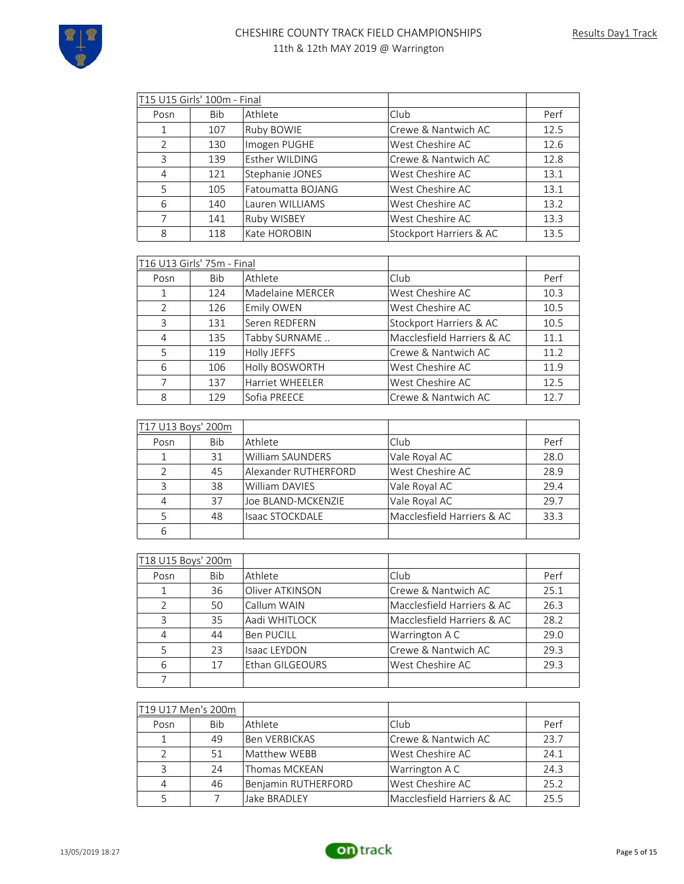

| T15 U15 Girls' 100m - Final |            |                   |                         |      |
|-----------------------------|------------|-------------------|-------------------------|------|
| Posn                        | <b>Bib</b> | Athlete           | Club.                   | Perf |
|                             | 107        | Ruby BOWIE        | Crewe & Nantwich AC     | 12.5 |
| 2                           | 130        | Imogen PUGHE      | West Cheshire AC        | 12.6 |
| 3                           | 139        | Esther WILDING    | Crewe & Nantwich AC     | 12.8 |
| 4                           | 121        | Stephanie JONES   | West Cheshire AC        | 13.1 |
| 5                           | 105        | Fatoumatta BOJANG | West Cheshire AC        | 13.1 |
| 6                           | 140        | Lauren WILLIAMS   | West Cheshire AC        | 13.2 |
| 7                           | 141        | Ruby WISBEY       | West Cheshire AC        | 13.3 |
| 8                           | 118        | Kate HOROBIN      | Stockport Harriers & AC | 13.5 |

|                | T16 U13 Girls' 75m - Final |                        |                            |      |
|----------------|----------------------------|------------------------|----------------------------|------|
| Posn           | <b>Bib</b>                 | Athlete                | Club                       | Perf |
| 1              | 124                        | Madelaine MERCER       | West Cheshire AC           | 10.3 |
| $\mathcal{L}$  | 126                        | Emily OWEN             | West Cheshire AC           | 10.5 |
| 3              | 131                        | Seren REDFERN          | Stockport Harriers & AC    | 10.5 |
| $\overline{4}$ | 135                        | Tabby SURNAME          | Macclesfield Harriers & AC | 11.1 |
| 5              | 119                        | Holly JEFFS            | Crewe & Nantwich AC        | 11.2 |
| 6              | 106                        | Holly BOSWORTH         | West Cheshire AC           | 11.9 |
| 7              | 137                        | <b>Harriet WHEELER</b> | West Cheshire AC           | 12.5 |
| 8              | 129                        | Sofia PREECE           | Crewe & Nantwich AC        | 12.7 |

| T17 U13 Boys' 200m |     |                         |                            |      |
|--------------------|-----|-------------------------|----------------------------|------|
| Posn               | Bib | Athlete                 | Club                       | Perf |
|                    | 31  | <b>William SAUNDERS</b> | Vale Royal AC              | 28.0 |
| $\mathcal{L}$      | 45  | Alexander RUTHERFORD    | West Cheshire AC           | 28.9 |
| 3                  | 38  | <b>William DAVIES</b>   | Vale Royal AC              | 29.4 |
| 4                  | 37  | Joe BLAND-MCKENZIE      | Vale Royal AC              | 29.7 |
| 5                  | 48  | <b>Isaac STOCKDALE</b>  | Macclesfield Harriers & AC | 33.3 |
| 6                  |     |                         |                            |      |

| T18 U15 Boys' 200m |            |                     |                            |      |
|--------------------|------------|---------------------|----------------------------|------|
| Posn               | <b>Bib</b> | Athlete             | Club                       | Perf |
| 1                  | 36         | Oliver ATKINSON     | Crewe & Nantwich AC        | 25.1 |
| $\mathcal{P}$      | 50         | Callum WAIN         | Macclesfield Harriers & AC | 26.3 |
| 3                  | 35         | Aadi WHITLOCK       | Macclesfield Harriers & AC | 28.2 |
| 4                  | 44         | <b>Ben PUCILL</b>   | Warrington A C             | 29.0 |
| 5                  | 23         | <b>Isaac LEYDON</b> | Crewe & Nantwich AC        | 29.3 |
| 6                  | 17         | Ethan GILGEOURS     | West Cheshire AC           | 29.3 |
|                    |            |                     |                            |      |

| T19 U17 Men's 200m |            |                     |                            |      |
|--------------------|------------|---------------------|----------------------------|------|
| Posn               | <b>Bib</b> | Athlete             | Club                       | Perf |
|                    | 49         | Ben VERBICKAS       | Crewe & Nantwich AC        | 23.7 |
|                    | 51         | Matthew WEBB        | West Cheshire AC           | 24.1 |
|                    | 24         | Thomas MCKEAN       | Warrington A C             | 24.3 |
|                    | 46         | Benjamin RUTHERFORD | West Cheshire AC           | 25.2 |
|                    |            | Jake BRADLEY        | Macclesfield Harriers & AC | 25.5 |

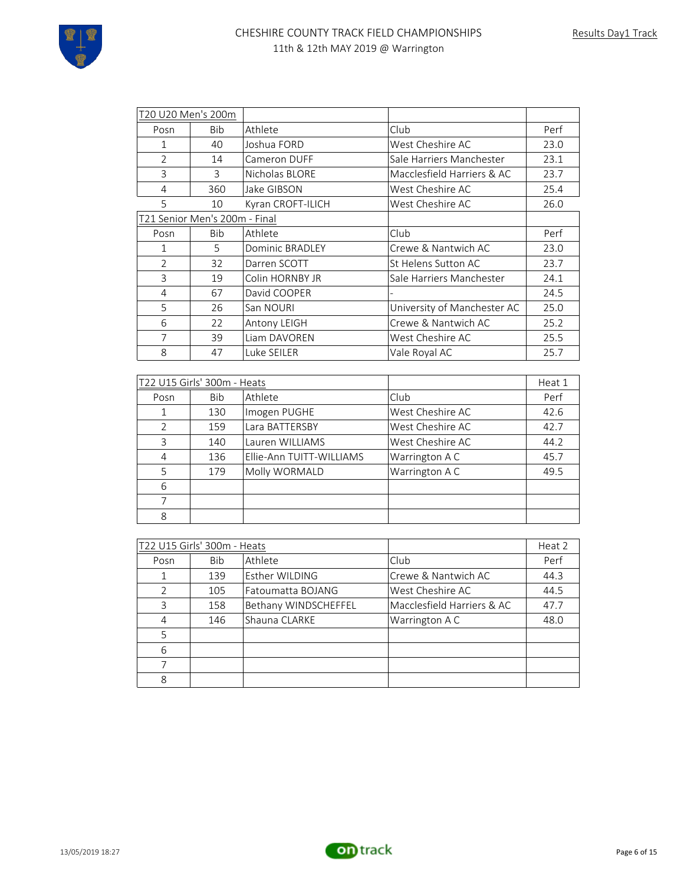| T20 U20 Men's 200m          |                               |                          |                             |        |
|-----------------------------|-------------------------------|--------------------------|-----------------------------|--------|
| Posn                        | Bib                           | Athlete                  | Club                        | Perf   |
| 1                           | 40                            | Joshua FORD              | West Cheshire AC            | 23.0   |
| $\overline{2}$              | 14                            | Cameron DUFF             | Sale Harriers Manchester    | 23.1   |
| 3                           | 3                             | Nicholas BLORE           | Macclesfield Harriers & AC  | 23.7   |
| 4                           | 360                           | Jake GIBSON              | West Cheshire AC            | 25.4   |
| 5                           | 10                            | Kyran CROFT-ILICH        | West Cheshire AC            | 26.0   |
|                             | T21 Senior Men's 200m - Final |                          |                             |        |
| Posn                        | Bib                           | Athlete                  | Club                        | Perf   |
| 1                           | 5                             | Dominic BRADLEY          | Crewe & Nantwich AC         | 23.0   |
| $\overline{2}$              | 32                            | Darren SCOTT             | St Helens Sutton AC         | 23.7   |
| 3                           | 19                            | Colin HORNBY JR          | Sale Harriers Manchester    | 24.1   |
| 4                           | 67                            | David COOPER             |                             | 24.5   |
| 5                           | 26                            | San NOURI                | University of Manchester AC | 25.0   |
| 6                           | 22                            | Antony LEIGH             | Crewe & Nantwich AC         | 25.2   |
| 7                           | 39                            | Liam DAVOREN             | West Cheshire AC            | 25.5   |
| 8                           | 47                            | Luke SEILER              | Vale Royal AC               | 25.7   |
|                             |                               |                          |                             |        |
|                             | T22 U15 Girls' 300m - Heats   |                          |                             | Heat 1 |
| Posn                        | <b>Bib</b>                    | Athlete                  | Club                        | Perf   |
| 1                           | 130                           | Imogen PUGHE             | West Cheshire AC            | 42.6   |
| $\overline{2}$              | 159                           | Lara BATTERSBY           | West Cheshire AC            | 42.7   |
| 3                           | 140                           | Lauren WILLIAMS          | West Cheshire AC            | 44.2   |
| $\overline{4}$              | 136                           | Ellie-Ann TUITT-WILLIAMS | Warrington A C              | 45.7   |
| 5                           | 179                           | Molly WORMALD            | Warrington A C              | 49.5   |
| 6                           |                               |                          |                             |        |
| 7                           |                               |                          |                             |        |
| 8                           |                               |                          |                             |        |
|                             |                               |                          |                             |        |
| T22 U15 Girls' 300m - Heats |                               |                          |                             | Heat 2 |
| Posn                        | Bib                           | Athlete                  | Club                        | Perf   |
| 1                           | 139                           | Esther WILDING           | Crewe & Nantwich AC         | 44.3   |
| $\overline{2}$              | 105                           | Fatoumatta BOJANG        | West Cheshire AC            | 44.5   |
| 3                           | 158                           | Bethany WINDSCHEFFEL     | Macclesfield Harriers & AC  | 47.7   |
| 4                           | 146                           | Shauna CLARKE            | Warrington A C              | 48.0   |
| 5                           |                               |                          |                             |        |
| 6                           |                               |                          |                             |        |
| 7                           |                               |                          |                             |        |
| 8                           |                               |                          |                             |        |

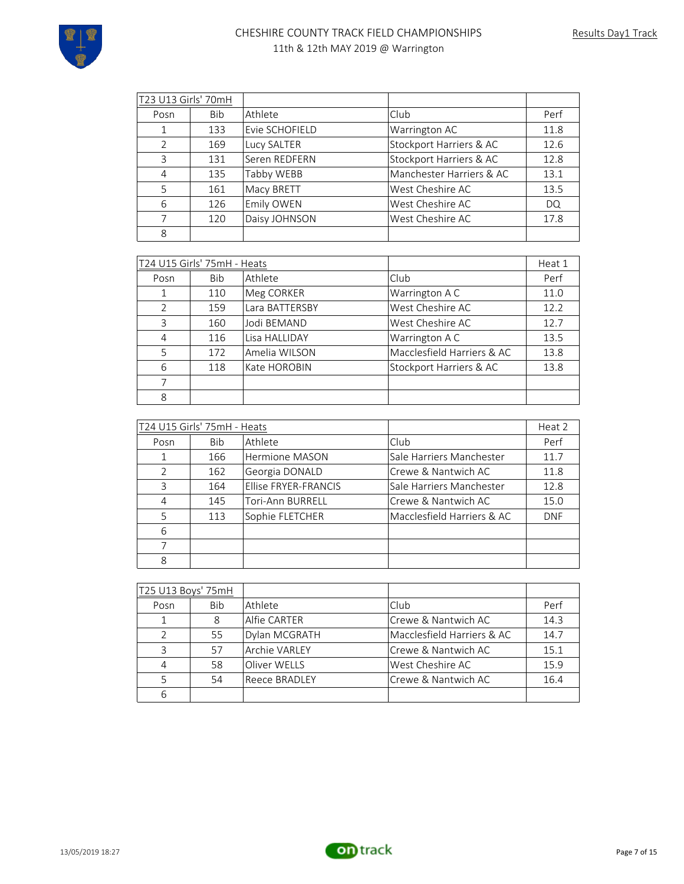

| T23 U13 Girls' 70mH |            |                |                          |      |
|---------------------|------------|----------------|--------------------------|------|
| Posn                | <b>Bib</b> | Athlete        | Club                     | Perf |
| 1                   | 133        | Evie SCHOFIELD | Warrington AC            | 11.8 |
| $\mathcal{P}$       | 169        | Lucy SALTER    | Stockport Harriers & AC  | 12.6 |
| 3                   | 131        | Seren REDFERN  | Stockport Harriers & AC  | 12.8 |
| 4                   | 135        | Tabby WEBB     | Manchester Harriers & AC | 13.1 |
| 5                   | 161        | Macy BRETT     | West Cheshire AC         | 13.5 |
| 6                   | 126        | Emily OWEN     | West Cheshire AC         | DQ.  |
| 7                   | 120        | Daisy JOHNSON  | West Cheshire AC         | 17.8 |
| 8                   |            |                |                          |      |

| T24 U15 Girls' 75mH - Heats |            |                |                            | Heat 1 |
|-----------------------------|------------|----------------|----------------------------|--------|
| Posn                        | <b>Bib</b> | Athlete        | Club                       | Perf   |
| 1                           | 110        | Meg CORKER     | Warrington A C             | 11.0   |
| $\mathcal{P}$               | 159        | Lara BATTERSBY | West Cheshire AC           | 12.2   |
| 3                           | 160        | Jodi BEMAND    | West Cheshire AC           | 12.7   |
| 4                           | 116        | Lisa HALLIDAY  | Warrington A C             | 13.5   |
| 5                           | 172        | Amelia WILSON  | Macclesfield Harriers & AC | 13.8   |
| 6                           | 118        | Kate HOROBIN   | Stockport Harriers & AC    | 13.8   |
| 7                           |            |                |                            |        |
| 8                           |            |                |                            |        |

| T24 U15 Girls' 75mH - Heats |     |                             |                            | Heat 2     |
|-----------------------------|-----|-----------------------------|----------------------------|------------|
| Posn                        | Bib | Athlete                     | Club                       | Perf       |
| $\mathbf{1}$                | 166 | Hermione MASON              | Sale Harriers Manchester   | 11.7       |
| $\mathcal{P}$               | 162 | Georgia DONALD              | Crewe & Nantwich AC        | 11.8       |
| ζ                           | 164 | <b>Ellise FRYER-FRANCIS</b> | Sale Harriers Manchester   | 12.8       |
| 4                           | 145 | Tori-Ann BURRELL            | Crewe & Nantwich AC        | 15.0       |
| 5                           | 113 | Sophie FLETCHER             | Macclesfield Harriers & AC | <b>DNF</b> |
| 6                           |     |                             |                            |            |
|                             |     |                             |                            |            |
| 8                           |     |                             |                            |            |

| T25 U13 Boys' 75mH |     |                      |                            |      |
|--------------------|-----|----------------------|----------------------------|------|
| Posn               | Bib | Athlete              | Club                       | Perf |
|                    | 8   | Alfie CARTER         | Crewe & Nantwich AC        | 14.3 |
| $\mathcal{L}$      | 55  | Dylan MCGRATH        | Macclesfield Harriers & AC | 14.7 |
| 3                  | 57  | <b>Archie VARLEY</b> | Crewe & Nantwich AC        | 15.1 |
| 4                  | 58  | Oliver WELLS         | West Cheshire AC           | 15.9 |
| 5                  | 54  | Reece BRADLEY        | Crewe & Nantwich AC        | 16.4 |
| 6                  |     |                      |                            |      |

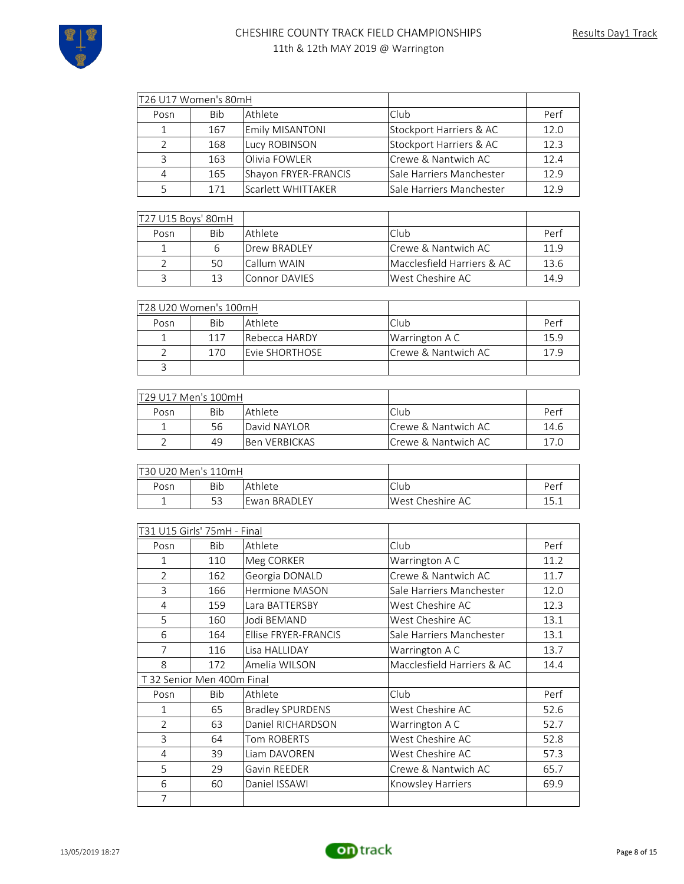

| T26 U17 Women's 80mH               |                          |                         |                            |      |
|------------------------------------|--------------------------|-------------------------|----------------------------|------|
| Posn                               | Bib                      | Athlete                 | Club                       | Perf |
| $\mathbf{1}$                       | 167                      | Emily MISANTONI         | Stockport Harriers & AC    | 12.0 |
| $\overline{2}$                     | 168                      | Lucy ROBINSON           | Stockport Harriers & AC    | 12.3 |
| 3                                  | 163                      | Olivia FOWLER           | Crewe & Nantwich AC        | 12.4 |
| $\overline{4}$                     | 165                      | Shayon FRYER-FRANCIS    | Sale Harriers Manchester   | 12.9 |
| 5                                  | 171                      | Scarlett WHITTAKER      | Sale Harriers Manchester   | 12.9 |
|                                    |                          |                         |                            |      |
| T27 U15 Boys' 80mH                 |                          |                         |                            |      |
| Posn                               | <b>Bib</b>               | Athlete                 | Club                       | Perf |
| $\mathbf{1}$                       | 6                        | Drew BRADLEY            | Crewe & Nantwich AC        | 11.9 |
| $\overline{2}$                     | 50                       | Callum WAIN             | Macclesfield Harriers & AC | 13.6 |
| 3                                  | 13                       | <b>Connor DAVIES</b>    | West Cheshire AC           | 14.9 |
|                                    |                          |                         |                            |      |
| <u>T28 U20 Women's 100mH</u>       |                          |                         |                            |      |
| Posn                               | <b>Bib</b>               | Athlete                 | Club                       | Perf |
| $\mathbf{1}$                       | 117                      | Rebecca HARDY           | Warrington A C             | 15.9 |
| $\overline{2}$                     | 170                      | Evie SHORTHOSE          | Crewe & Nantwich AC        | 17.9 |
| 3                                  |                          |                         |                            |      |
|                                    |                          |                         |                            |      |
| T29 U17 Men's 100mH                |                          |                         |                            |      |
| Posn                               | <b>Bib</b>               | Athlete                 | Club                       | Perf |
| $\mathbf{1}$                       | 56                       | David NAYLOR            | Crewe & Nantwich AC        | 14.6 |
| $\overline{2}$                     | 49                       | <b>Ben VERBICKAS</b>    | Crewe & Nantwich AC        | 17.0 |
|                                    |                          |                         |                            |      |
| T30 U20 Men's 110mH                |                          |                         |                            |      |
| Posn                               | Bib                      | Athlete                 | Club                       | Perf |
| $\mathbf{1}$                       | 53                       | Ewan BRADLEY            | West Cheshire AC           | 15.1 |
|                                    |                          |                         |                            |      |
| <u>T31 U15 Girls' 75mH - Final</u> |                          |                         |                            |      |
| Posn                               | Bib                      | Athlete                 | Club                       | Perf |
| 1                                  | 110                      | Meg CORKER              | Warrington A C             | 11.2 |
| $\overline{2}$                     | 162                      | Georgia DONALD          | Crewe & Nantwich AC        | 11.7 |
| $\overline{3}$                     | 166                      | Hermione MASON          | Sale Harriers Manchester   | 12.0 |
| 4                                  | 159                      | Lara BATTERSBY          | West Cheshire AC           | 12.3 |
| 5                                  | 160                      | Jodi BEMAND             | West Cheshire AC           | 13.1 |
| 6                                  | 164                      | Ellise FRYER-FRANCIS    | Sale Harriers Manchester   | 13.1 |
| $\overline{7}$                     | 116                      | Lisa HALLIDAY           | Warrington A C             | 13.7 |
| 8                                  | 172                      | Amelia WILSON           | Macclesfield Harriers & AC | 14.4 |
|                                    | 32 Senior Men 400m Final |                         |                            |      |
| Posn                               | Bib                      | Athlete                 | Club                       | Perf |
| $\mathbf{1}$                       | 65                       | <b>Bradley SPURDENS</b> | West Cheshire AC           | 52.6 |
| $\overline{2}$                     | 63                       | Daniel RICHARDSON       | Warrington A C             | 52.7 |
| 3                                  | 64                       | Tom ROBERTS             | West Cheshire AC           | 52.8 |
| 4                                  | 39                       | Liam DAVOREN            | West Cheshire AC           | 57.3 |
| 5                                  | 29                       | Gavin REEDER            | Crewe & Nantwich AC        | 65.7 |
| 6                                  | 60                       | Daniel ISSAWI           | Knowsley Harriers          | 69.9 |
| 7                                  |                          |                         |                            |      |

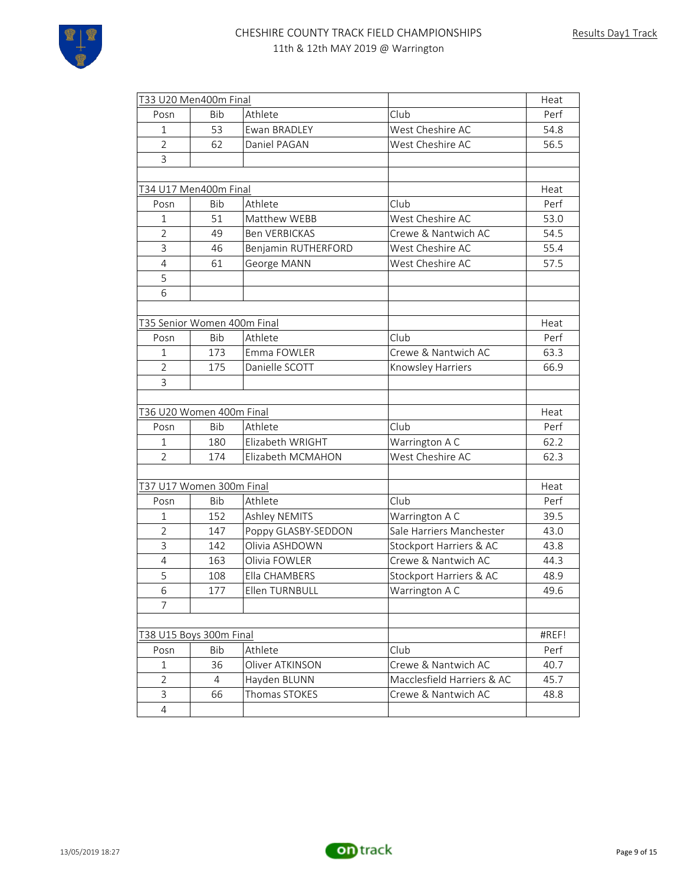

| T33 U20 Men400m Final       |            |                      |                            | Heat  |
|-----------------------------|------------|----------------------|----------------------------|-------|
| Posn                        | <b>Bib</b> | Athlete              | Club                       | Perf  |
| $\mathbf{1}$                | 53         | Ewan BRADLEY         | West Cheshire AC           | 54.8  |
| $\overline{2}$              | 62         | Daniel PAGAN         | West Cheshire AC           | 56.5  |
| 3                           |            |                      |                            |       |
|                             |            |                      |                            |       |
| T34 U17 Men400m Final       |            |                      |                            | Heat  |
| Posn                        | <b>Bib</b> | Athlete              | Club                       | Perf  |
| $\mathbf{1}$                | 51         | Matthew WEBB         | West Cheshire AC           | 53.0  |
| 2                           | 49         | <b>Ben VERBICKAS</b> | Crewe & Nantwich AC        | 54.5  |
| 3                           | 46         | Benjamin RUTHERFORD  | West Cheshire AC           | 55.4  |
| $\overline{4}$              | 61         | George MANN          | West Cheshire AC           | 57.5  |
| 5                           |            |                      |                            |       |
| 6                           |            |                      |                            |       |
|                             |            |                      |                            |       |
| T35 Senior Women 400m Final |            |                      |                            | Heat  |
| Posn                        | <b>Bib</b> | Athlete              | Club                       | Perf  |
| $\mathbf{1}$                | 173        | Emma FOWLER          | Crewe & Nantwich AC        | 63.3  |
| $\overline{2}$              | 175        | Danielle SCOTT       | Knowsley Harriers          | 66.9  |
| 3                           |            |                      |                            |       |
|                             |            |                      |                            |       |
| T36 U20 Women 400m Final    |            |                      |                            | Heat  |
| Posn                        | Bib        | Athlete              | Club                       | Perf  |
| 1                           | 180        | Elizabeth WRIGHT     | Warrington A C             | 62.2  |
| $\overline{2}$              | 174        | Elizabeth MCMAHON    | West Cheshire AC           | 62.3  |
|                             |            |                      |                            |       |
| T37 U17 Women 300m Final    |            |                      |                            | Heat  |
| Posn                        | <b>Bib</b> | Athlete              | Club                       | Perf  |
| 1                           | 152        | Ashley NEMITS        | Warrington A C             | 39.5  |
| $\overline{2}$              | 147        | Poppy GLASBY-SEDDON  | Sale Harriers Manchester   | 43.0  |
| 3                           | 142        | Olivia ASHDOWN       | Stockport Harriers & AC    | 43.8  |
| 4                           | 163        | Olivia FOWLER        | Crewe & Nantwich AC        | 44.3  |
| 5                           | 108        | Ella CHAMBERS        | Stockport Harriers & AC    | 48.9  |
| 6                           | 177        | Fllen TURNBULL       | Warrington A C             | 49.6  |
| 7                           |            |                      |                            |       |
|                             |            |                      |                            |       |
| T38 U15 Boys 300m Final     |            |                      |                            | #REF! |
| Posn                        | <b>Bib</b> | Athlete              | Club                       | Perf  |
| 1                           | 36         | Oliver ATKINSON      | Crewe & Nantwich AC        | 40.7  |
| 2                           | 4          | Hayden BLUNN         | Macclesfield Harriers & AC | 45.7  |
| 3                           | 66         | Thomas STOKES        | Crewe & Nantwich AC        | 48.8  |
| 4                           |            |                      |                            |       |

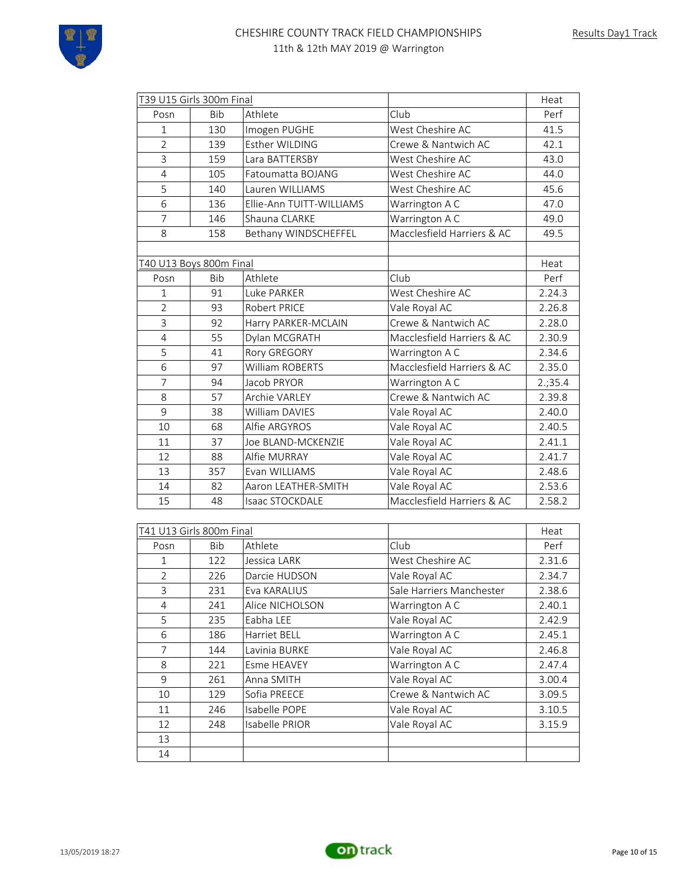

|                         | T39 U15 Girls 300m Final |                          |                            | Heat   |
|-------------------------|--------------------------|--------------------------|----------------------------|--------|
| Posn                    | <b>Bib</b>               | Athlete                  | Club                       | Perf   |
| $\mathbf{1}$            | 130                      | Imogen PUGHE             | West Cheshire AC           | 41.5   |
| $\overline{2}$          | 139                      | Esther WILDING           | Crewe & Nantwich AC        | 42.1   |
| $\overline{3}$          | 159                      | Lara BATTERSBY           | West Cheshire AC           | 43.0   |
| $\overline{4}$          | 105                      | Fatoumatta BOJANG        | West Cheshire AC           | 44.0   |
| 5                       | 140                      | Lauren WILLIAMS          | West Cheshire AC           | 45.6   |
| 6                       | 136                      | Ellie-Ann TUITT-WILLIAMS | Warrington A C             | 47.0   |
| $\overline{7}$          | 146                      | Shauna CLARKE            | Warrington A C             | 49.0   |
| 8                       | 158                      | Bethany WINDSCHEFFEL     | Macclesfield Harriers & AC | 49.5   |
|                         |                          |                          |                            |        |
| T40 U13 Boys 800m Final |                          |                          |                            | Heat   |
| Posn                    | <b>Bib</b>               | Athlete                  | Club                       | Perf   |
| $\mathbf{1}$            | 91                       | Luke PARKER              | West Cheshire AC           | 2.24.3 |
| $\overline{2}$          | 93                       | Robert PRICE             | Vale Royal AC              | 2.26.8 |
| 3                       | 92                       | Harry PARKER-MCLAIN      | Crewe & Nantwich AC        | 2.28.0 |
| $\overline{4}$          | 55                       | Dylan MCGRATH            | Macclesfield Harriers & AC | 2.30.9 |
| 5                       | 41                       | Rory GREGORY             | Warrington A C             | 2.34.6 |
| 6                       | 97                       | William ROBERTS          | Macclesfield Harriers & AC | 2.35.0 |
| $\overline{7}$          | 94                       | Jacob PRYOR              | Warrington A C             | 2.35.4 |
| 8                       | 57                       | <b>Archie VARLEY</b>     | Crewe & Nantwich AC        | 2.39.8 |
| 9                       | 38                       | William DAVIES           | Vale Royal AC              | 2.40.0 |
| 10                      | 68                       | Alfie ARGYROS            | Vale Royal AC              | 2.40.5 |
| 11                      | 37                       | Joe BLAND-MCKENZIE       | Vale Royal AC              | 2.41.1 |
| 12                      | 88                       | Alfie MURRAY             | Vale Royal AC              | 2.41.7 |
| 13                      | 357                      | Evan WILLIAMS            | Vale Royal AC              | 2.48.6 |
| 14                      | 82                       | Aaron LEATHER-SMITH      | Vale Royal AC              | 2.53.6 |
| 15                      | 48                       | <b>Isaac STOCKDALE</b>   | Macclesfield Harriers & AC | 2.58.2 |
|                         |                          |                          |                            |        |

|               | T41 U13 Girls 800m Final |                    |                          | Heat   |
|---------------|--------------------------|--------------------|--------------------------|--------|
| Posn          | <b>Bib</b>               | Athlete            | Club                     | Perf   |
| 1             | 122                      | Jessica LARK       | West Cheshire AC         | 2.31.6 |
| $\mathcal{P}$ | 226                      | Darcie HUDSON      | Vale Royal AC            | 2.34.7 |
| 3             | 231                      | Eva KARALIUS       | Sale Harriers Manchester | 2.38.6 |
| 4             | 241                      | Alice NICHOLSON    | Warrington A C           | 2.40.1 |
| 5             | 235                      | Eabha LEE          | Vale Royal AC            | 2.42.9 |
| 6             | 186                      | Harriet BELL       | Warrington A C           | 2.45.1 |
| 7             | 144                      | Lavinia BURKE      | Vale Royal AC            | 2.46.8 |
| 8             | 221                      | <b>Esme HEAVEY</b> | Warrington A C           | 2.47.4 |
| 9             | 261                      | Anna SMITH         | Vale Royal AC            | 3.00.4 |
| 10            | 129                      | Sofia PREECE       | Crewe & Nantwich AC      | 3.09.5 |
| 11            | 246                      | Isabelle POPE      | Vale Royal AC            | 3.10.5 |
| 12            | 248                      | Isabelle PRIOR     | Vale Royal AC            | 3.15.9 |
| 13            |                          |                    |                          |        |
| 14            |                          |                    |                          |        |

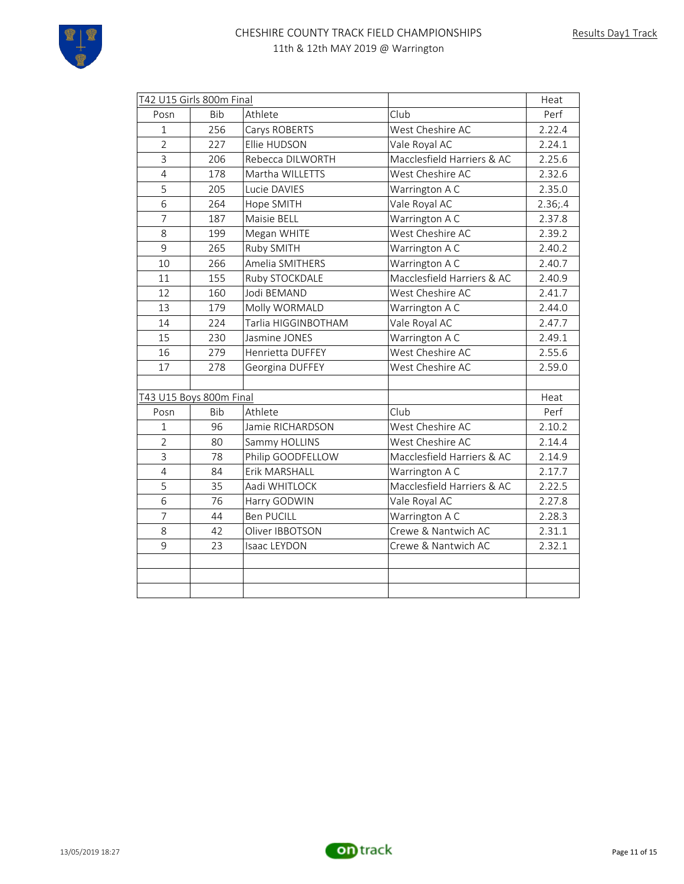

| T42 U15 Girls 800m Final |            |                     |                            | Heat   |
|--------------------------|------------|---------------------|----------------------------|--------|
| Posn                     | <b>Bib</b> | Athlete             | Club                       | Perf   |
| $\mathbf{1}$             | 256        | Carys ROBERTS       | West Cheshire AC           | 2.22.4 |
| $\overline{2}$           | 227        | Ellie HUDSON        | Vale Royal AC              | 2.24.1 |
| $\overline{3}$           | 206        | Rebecca DILWORTH    | Macclesfield Harriers & AC | 2.25.6 |
| $\overline{4}$           | 178        | Martha WILLETTS     | West Cheshire AC           | 2.32.6 |
| 5                        | 205        | Lucie DAVIES        | Warrington A C             | 2.35.0 |
| 6                        | 264        | Hope SMITH          | Vale Royal AC              | 2.36;4 |
| 7                        | 187        | Maisie BELL         | Warrington A C             | 2.37.8 |
| 8                        | 199        | Megan WHITE         | West Cheshire AC           | 2.39.2 |
| 9                        | 265        | Ruby SMITH          | Warrington A C             | 2.40.2 |
| 10                       | 266        | Amelia SMITHERS     | Warrington A C             | 2.40.7 |
| 11                       | 155        | Ruby STOCKDALE      | Macclesfield Harriers & AC | 2.40.9 |
| 12                       | 160        | Jodi BEMAND         | West Cheshire AC           | 2.41.7 |
| 13                       | 179        | Molly WORMALD       | Warrington A C             | 2.44.0 |
| 14                       | 224        | Tarlia HIGGINBOTHAM | Vale Royal AC              | 2.47.7 |
| 15                       | 230        | Jasmine JONES       | Warrington A C             | 2.49.1 |
| 16                       | 279        | Henrietta DUFFEY    | West Cheshire AC           | 2.55.6 |
| 17                       | 278        | Georgina DUFFEY     | West Cheshire AC           | 2.59.0 |
|                          |            |                     |                            |        |
| T43 U15 Boys 800m Final  |            |                     |                            | Heat   |
| Posn                     | <b>Bib</b> | Athlete             | Club                       | Perf   |
| $\mathbf{1}$             | 96         | Jamie RICHARDSON    | West Cheshire AC           | 2.10.2 |
| $\overline{2}$           | 80         | Sammy HOLLINS       | West Cheshire AC           | 2.14.4 |
| $\overline{3}$           | 78         | Philip GOODFELLOW   | Macclesfield Harriers & AC | 2.14.9 |
| $\overline{4}$           | 84         | Erik MARSHALL       | Warrington A C             | 2.17.7 |
| 5                        | 35         | Aadi WHITLOCK       | Macclesfield Harriers & AC | 2.22.5 |
| 6                        | 76         | Harry GODWIN        | Vale Royal AC              | 2.27.8 |
| $\overline{7}$           | 44         | <b>Ben PUCILL</b>   | Warrington A C             | 2.28.3 |
| 8                        | 42         | Oliver IBBOTSON     | Crewe & Nantwich AC        | 2.31.1 |
| 9                        | 23         | Isaac LEYDON        | Crewe & Nantwich AC        | 2.32.1 |
|                          |            |                     |                            |        |
|                          |            |                     |                            |        |
|                          |            |                     |                            |        |

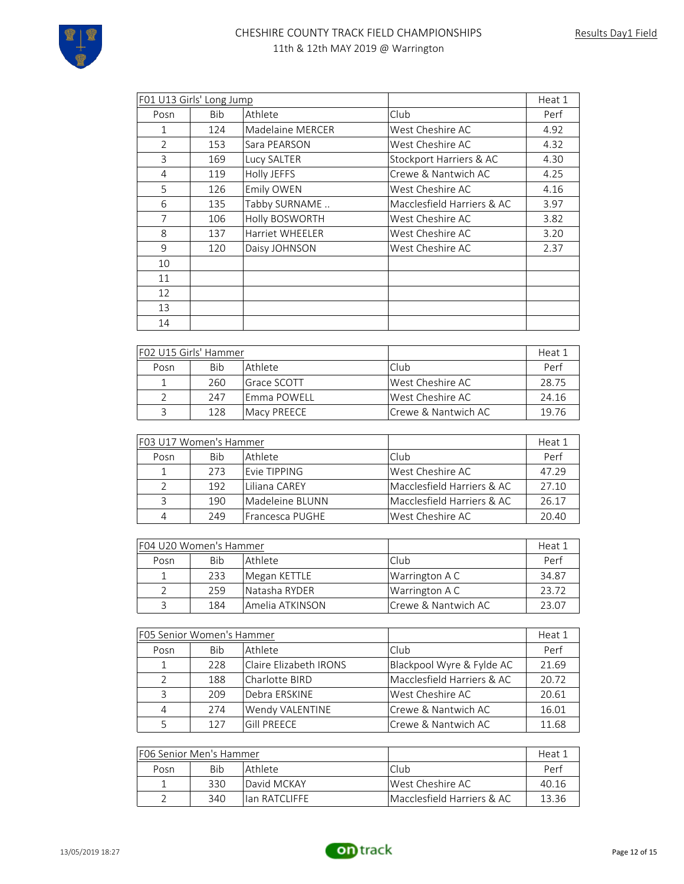| F01 U13 Girls' Long Jump |            |                        | Heat 1                     |      |
|--------------------------|------------|------------------------|----------------------------|------|
| Posn                     | <b>Bib</b> | Athlete                | Club                       | Perf |
| $\mathbf{1}$             | 124        | Madelaine MERCER       | West Cheshire AC           | 4.92 |
| $\overline{2}$           | 153        | Sara PEARSON           | West Cheshire AC           | 4.32 |
| 3                        | 169        | Lucy SALTER            | Stockport Harriers & AC    | 4.30 |
| $\overline{4}$           | 119        | <b>Holly JEFFS</b>     | Crewe & Nantwich AC        | 4.25 |
| 5                        | 126        | Emily OWEN             | West Cheshire AC           | 4.16 |
| 6                        | 135        | Tabby SURNAME          | Macclesfield Harriers & AC | 3.97 |
| 7                        | 106        | Holly BOSWORTH         | West Cheshire AC           | 3.82 |
| 8                        | 137        | <b>Harriet WHEELER</b> | West Cheshire AC           | 3.20 |
| 9                        | 120        | Daisy JOHNSON          | West Cheshire AC           | 2.37 |
| 10                       |            |                        |                            |      |
| 11                       |            |                        |                            |      |
| 12                       |            |                        |                            |      |
| 13                       |            |                        |                            |      |
| 14                       |            |                        |                            |      |

|      | F02 U15 Girls' Hammer |                    |                      | Heat 1 |
|------|-----------------------|--------------------|----------------------|--------|
| Posn | Bib                   | Athlete            | Club                 | Perf   |
|      | 260                   | Grace SCOTT        | West Cheshire AC     | 28.75  |
|      | 247                   | lEmma POWELL       | West Cheshire AC     | 24.16  |
|      | 128                   | <b>Macy PREECE</b> | lCrewe & Nantwich AC | 1976   |

| F03 U17 Women's Hammer |     |                 |                            | Heat 1 |
|------------------------|-----|-----------------|----------------------------|--------|
| Posn                   | Bib | Athlete         | l Club                     | Perf   |
|                        | 273 | Evie TIPPING    | West Cheshire AC           | 47.29  |
| $\mathcal{L}$          | 192 | Liliana CAREY   | Macclesfield Harriers & AC | 27.10  |
| 3                      | 190 | Madeleine BLUNN | Macclesfield Harriers & AC | 26.17  |
| 4                      | 249 | Francesca PUGHE | West Cheshire AC           | 20.40  |

| F04 U20 Women's Hammer                      |     |                 |                      | Heat 1 |
|---------------------------------------------|-----|-----------------|----------------------|--------|
| l Club<br><b>Bib</b><br>  Athlete  <br>Posn |     |                 | Perf                 |        |
|                                             | 233 | Megan KETTLE    | Warrington A C       | 34.87  |
|                                             | 259 | Natasha RYDER   | Warrington A C       | 23.72  |
|                                             | 184 | Amelia ATKINSON | ICrewe & Nantwich AC | 23.07  |

|               | F05 Senior Women's Hammer |                        |                            | Heat 1 |
|---------------|---------------------------|------------------------|----------------------------|--------|
| Posn          | Bib                       | Athlete                | Club                       | Perf   |
| $\mathbf{1}$  | 228                       | Claire Elizabeth IRONS | Blackpool Wyre & Fylde AC  | 21.69  |
| $\mathcal{L}$ | 188                       | Charlotte BIRD         | Macclesfield Harriers & AC | 20.72  |
| 3             | 209                       | Debra ERSKINE          | West Cheshire AC           | 20.61  |
| 4             | 274                       | Wendy VALENTINE        | Crewe & Nantwich AC        | 16.01  |
| 5             | 127                       | Gill PRFFCF            | Crewe & Nantwich AC        | 11.68  |

| IF06 Senior Men's Hammer |                |                | Heat 1                     |       |
|--------------------------|----------------|----------------|----------------------------|-------|
| Posn                     | Bib<br>Athlete |                | Club                       | Perf  |
|                          | 330            | David MCKAY    | West Cheshire AC           | 40.16 |
|                          | 340            | llan RATCLIFFF | Macclesfield Harriers & AC | 13.36 |

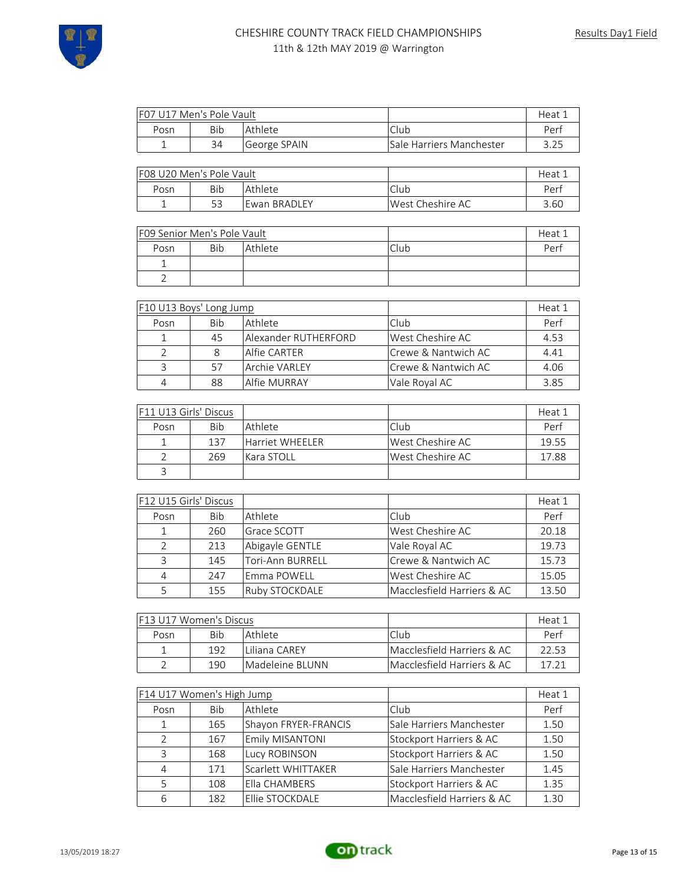

| F07 U17 Men's Pole Vault |     |              |                                 | Heat <sub>+</sub> |
|--------------------------|-----|--------------|---------------------------------|-------------------|
| Posn                     | Bib | Athlete      | Club                            | Perf              |
|                          | 34  | George SPAIN | <b>Sale Harriers Manchester</b> |                   |

| IF08 U20 Men's Pole Vault |                |               |                   | Heat |
|---------------------------|----------------|---------------|-------------------|------|
| Posn                      | Athlete<br>Bib |               | Club              | Per  |
|                           |                | lEwan BRADLEY | lWest Cheshire AC | 3.60 |

| <b>FO9 Senior Men's Pole Vault</b> |            |         |      | Heat 1 |
|------------------------------------|------------|---------|------|--------|
| Posn                               | <b>Bib</b> | Athlete | Club | Perf   |
|                                    |            |         |      |        |
|                                    |            |         |      |        |

| F10 U13 Boys' Long Jump |     |                      |                     | Heat 1 |
|-------------------------|-----|----------------------|---------------------|--------|
| Posn                    | Bib | Athlete              | Club                | Perf   |
|                         | 45  | Alexander RUTHERFORD | West Cheshire AC    | 4.53   |
|                         |     | Alfie CARTER         | Crewe & Nantwich AC | 4.41   |
| 3                       | 57  | <b>Archie VARLEY</b> | Crewe & Nantwich AC | 4.06   |
| 4                       | 88  | <b>Alfie MURRAY</b>  | Vale Royal AC       | 3.85   |

| F11 U13 Girls' Discus |     |                        |                     | Heat 1 |
|-----------------------|-----|------------------------|---------------------|--------|
| Posn                  | Bib | l Athlete              | l Club              | Perf   |
|                       | 137 | <b>Harriet WHEELER</b> | lWest Cheshire AC I | 19.55  |
|                       | 269 | Kara STOLL             | lWest Cheshire AC I | 17.88  |
|                       |     |                        |                     |        |

| F12 U15 Girls' Discus |     |                  |                            | Heat 1 |
|-----------------------|-----|------------------|----------------------------|--------|
| Posn                  | Bib | Athlete          | Club                       | Perf   |
| 1                     | 260 | Grace SCOTT      | West Cheshire AC           | 20.18  |
| $\mathcal{P}$         | 213 | Abigayle GENTLE  | Vale Royal AC              | 19.73  |
| 3                     | 145 | Tori-Ann BURRELL | Crewe & Nantwich AC        | 15.73  |
| 4                     | 247 | lEmma POWELL     | West Cheshire AC           | 15.05  |
| 5                     | 155 | Ruby STOCKDALE   | Macclesfield Harriers & AC | 13.50  |

| IF13 U17 Women's Discus         |     |                 | Heat 1                     |       |
|---------------------------------|-----|-----------------|----------------------------|-------|
| <b>Bib</b><br>  Athlete<br>Posn |     | Club            | Perf                       |       |
|                                 | 192 | ll iliana CARFY | Macclesfield Harriers & AC | 22 53 |
|                                 | 190 | Madeleine BLUNN | Macclesfield Harriers & AC | 17 71 |

|               | F14 U17 Women's High Jump |                      |                            | Heat 1 |
|---------------|---------------------------|----------------------|----------------------------|--------|
| Posn          | <b>Bib</b>                | Athlete              | Club                       | Perf   |
| 1             | 165                       | Shayon FRYER-FRANCIS | Sale Harriers Manchester   | 1.50   |
| $\mathcal{P}$ | 167                       | Emily MISANTONI      | Stockport Harriers & AC    | 1.50   |
| ζ             | 168                       | Lucy ROBINSON        | Stockport Harriers & AC    | 1.50   |
| 4             | 171                       | Scarlett WHITTAKER   | Sale Harriers Manchester   | 1.45   |
| 5             | 108                       | Ella CHAMBERS        | Stockport Harriers & AC    | 1.35   |
| 6             | 182                       | Ellie STOCKDALE      | Macclesfield Harriers & AC | 1.30   |

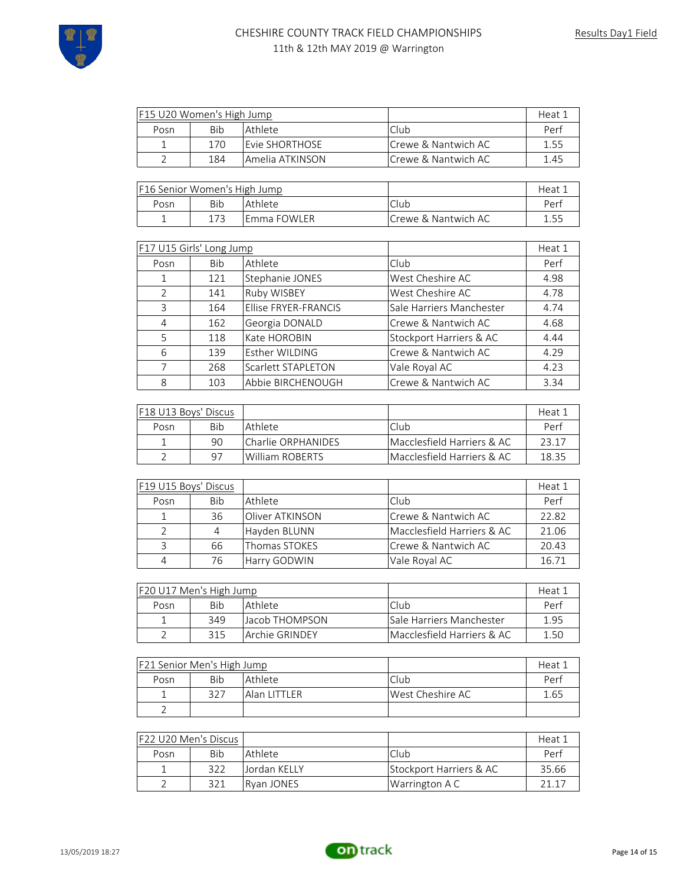

| F15 U20 Women's High Jump |            |                  |                      | Heat 1 |
|---------------------------|------------|------------------|----------------------|--------|
| Posn                      | <b>Bib</b> | l Athlete i      | Club                 | Perf   |
|                           | 170        | lFvie SHORTHOSF  | ICrewe & Nantwich AC | 1.55   |
|                           | 184        | lAmelia ATKINSON | Crewe & Nantwich AC  | 1.45   |

| <b>F16 Senior Women's High Jump</b> |     |              |                      | Heat |
|-------------------------------------|-----|--------------|----------------------|------|
| Posn                                | Bib | Athlete      | Club                 | Per  |
|                                     |     | lEmma FOWLER | ICrewe & Nantwich AC | 1.55 |

|      | F17 U15 Girls' Long Jump |                      |                          | Heat 1 |
|------|--------------------------|----------------------|--------------------------|--------|
| Posn | <b>Bib</b>               | Athlete              | Club.                    | Perf   |
| 1    | 121                      | Stephanie JONES      | West Cheshire AC         | 4.98   |
| 2    | 141                      | Ruby WISBEY          | West Cheshire AC         | 4.78   |
| 3    | 164                      | Ellise FRYER-FRANCIS | Sale Harriers Manchester | 4.74   |
| 4    | 162                      | Georgia DONALD       | Crewe & Nantwich AC      | 4.68   |
| 5    | 118                      | Kate HOROBIN         | Stockport Harriers & AC  | 4.44   |
| 6    | 139                      | Esther WILDING       | Crewe & Nantwich AC      | 4.29   |
| 7    | 268                      | Scarlett STAPLETON   | Vale Royal AC            | 4.23   |
| 8    | 103                      | Abbie BIRCHENOUGH    | Crewe & Nantwich AC      | 3.34   |

| <b>F18 U13 Boys' Discus</b> |     |                    |                            | Heat 1 |
|-----------------------------|-----|--------------------|----------------------------|--------|
| Posn                        | Bib | l Athlete i        | Club                       | Perf   |
|                             | 90  | Charlie ORPHANIDES | Macclesfield Harriers & AC | 23 17  |
|                             | 97  | William ROBERTS    | Macclesfield Harriers & AC | 18 35  |

| F19 U15 Boys' Discus |            |                 |                            | Heat 1 |
|----------------------|------------|-----------------|----------------------------|--------|
| Posn                 | <b>Bib</b> | Athlete         | Club                       | Perf   |
|                      | 36         | Oliver ATKINSON | Crewe & Nantwich AC        | 22.82  |
|                      | 4          | Hayden BLUNN    | Macclesfield Harriers & AC | 21.06  |
| $\mathcal{R}$        | 66         | Thomas STOKES   | Crewe & Nantwich AC        | 20.43  |
| 4                    | 76         | Harry GODWIN    | Vale Royal AC              | 16.71  |

| F20 U17 Men's High Jump |                          |                | Heat 1                          |      |
|-------------------------|--------------------------|----------------|---------------------------------|------|
| Posn                    | <b>Bib</b><br>l Athlete. |                | Club                            | Perf |
|                         | 349                      | Hacob THOMPSON | <b>Sale Harriers Manchester</b> | 1.95 |
|                         | 315                      | Archie GRINDEY | lMacclesfield Harriers & AC     | 1.50 |

| <b>F21 Senior Men's High Jump</b> |     |              |                  | Heat 1 |
|-----------------------------------|-----|--------------|------------------|--------|
| Posn                              | Bib | l Athlete    | Club             | Perf   |
|                                   | 327 | Alan LITTLER | West Cheshire AC | 1.65   |
|                                   |     |              |                  |        |

| <b>IF22 U20 Men's Discus</b> |     |               |                                    | Heat 1 |
|------------------------------|-----|---------------|------------------------------------|--------|
| Posn                         | Bib | Athlete       | Club                               | Perf   |
|                              | 322 | LJordan KELLY | <b>Stockport Harriers &amp; AC</b> | 35.66  |
|                              | 321 | Rvan JONES    | Warrington A C                     | 21 17  |